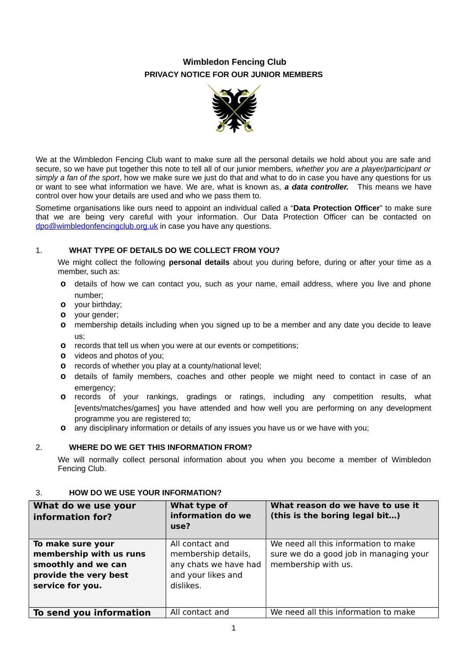# **Wimbledon Fencing Club PRIVACY NOTICE FOR OUR JUNIOR MEMBERS**



We at the Wimbledon Fencing Club want to make sure all the personal details we hold about you are safe and secure, so we have put together this note to tell all of our junior members, *whether you are a player/participant or simply a fan of the sport*, how we make sure we just do that and what to do in case you have any questions for us or want to see what information we have. We are, what is known as, *a data controller.* This means we have control over how your details are used and who we pass them to.

Sometime organisations like ours need to appoint an individual called a "**Data Protection Officer**" to make sure that we are being very careful with your information. Our Data Protection Officer can be contacted on [dpo@wimbledonfencingclub.org.uk](mailto:dpo@wimbledonfencingclub.org.uk) in case you have any questions.

# 1. **WHAT TYPE OF DETAILS DO WE COLLECT FROM YOU?**

We might collect the following **personal details** about you during before, during or after your time as a member, such as:

- **o** details of how we can contact you, such as your name, email address, where you live and phone number;
- **o** your birthday;
- **o** vour gender:
- **o** membership details including when you signed up to be a member and any date you decide to leave us;
- **o** records that tell us when you were at our events or competitions;
- **o** videos and photos of you;
- **o** records of whether you play at a county/national level;
- **o** details of family members, coaches and other people we might need to contact in case of an emergency:
- **o** records of your rankings, gradings or ratings, including any competition results, what [events/matches/games] you have attended and how well you are performing on any development programme you are registered to;
- **o** any disciplinary information or details of any issues you have us or we have with you;

#### 2. **WHERE DO WE GET THIS INFORMATION FROM?**

We will normally collect personal information about you when you become a member of Wimbledon Fencing Club.

#### **What do we use your information for? What type of information do we use? What reason do we have to use it (this is the boring legal bit…) To make sure your membership with us runs smoothly and we can provide the very best service for you.** All contact and membership details, any chats we have had and your likes and dislikes. We need all this information to make sure we do a good job in managing your membership with us. **To send you information** | All contact and | We need all this information to make

# 3. **HOW DO WE USE YOUR INFORMATION?**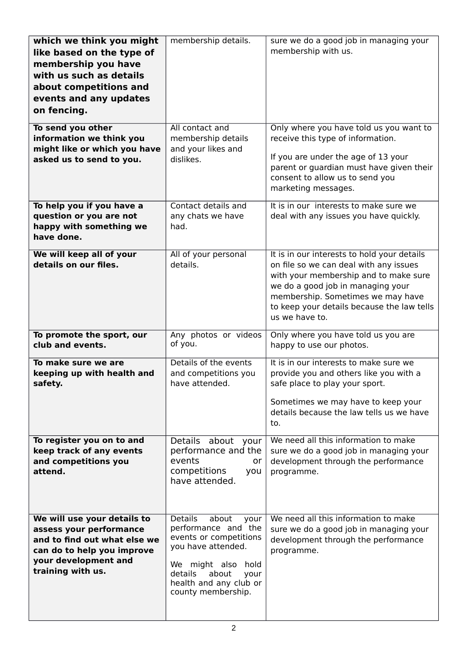| which we think you might<br>like based on the type of<br>membership you have<br>with us such as details<br>about competitions and<br>events and any updates<br>on fencing. | membership details.                                                                                                                                                                                         | sure we do a good job in managing your<br>membership with us.                                                                                                                                                                                                            |
|----------------------------------------------------------------------------------------------------------------------------------------------------------------------------|-------------------------------------------------------------------------------------------------------------------------------------------------------------------------------------------------------------|--------------------------------------------------------------------------------------------------------------------------------------------------------------------------------------------------------------------------------------------------------------------------|
| To send you other<br>information we think you<br>might like or which you have<br>asked us to send to you.                                                                  | All contact and<br>membership details<br>and your likes and<br>dislikes.                                                                                                                                    | Only where you have told us you want to<br>receive this type of information.<br>If you are under the age of 13 your<br>parent or guardian must have given their<br>consent to allow us to send you<br>marketing messages.                                                |
| To help you if you have a<br>question or you are not<br>happy with something we<br>have done.                                                                              | Contact details and<br>any chats we have<br>had.                                                                                                                                                            | It is in our interests to make sure we<br>deal with any issues you have quickly.                                                                                                                                                                                         |
| We will keep all of your<br>details on our files.                                                                                                                          | All of your personal<br>details.                                                                                                                                                                            | It is in our interests to hold your details<br>on file so we can deal with any issues<br>with your membership and to make sure<br>we do a good job in managing your<br>membership. Sometimes we may have<br>to keep your details because the law tells<br>us we have to. |
| To promote the sport, our<br>club and events.                                                                                                                              | Any photos or videos<br>of you.                                                                                                                                                                             | Only where you have told us you are<br>happy to use our photos.                                                                                                                                                                                                          |
| To make sure we are<br>keeping up with health and<br>safety.                                                                                                               | Details of the events<br>and competitions you<br>have attended.                                                                                                                                             | It is in our interests to make sure we<br>provide you and others like you with a<br>safe place to play your sport.<br>Sometimes we may have to keep your<br>details because the law tells us we have<br>to.                                                              |
| To register you on to and<br>keep track of any events<br>and competitions you<br>attend.                                                                                   | Details about your<br>performance and the<br>events<br>or<br>competitions<br>you<br>have attended.                                                                                                          | We need all this information to make<br>sure we do a good job in managing your<br>development through the performance<br>programme.                                                                                                                                      |
| We will use your details to<br>assess your performance<br>and to find out what else we<br>can do to help you improve<br>your development and<br>training with us.          | <b>Details</b><br>about<br>your<br>performance and the<br>events or competitions<br>you have attended.<br>We might also<br>hold<br>about<br>details<br>your<br>health and any club or<br>county membership. | We need all this information to make<br>sure we do a good job in managing your<br>development through the performance<br>programme.                                                                                                                                      |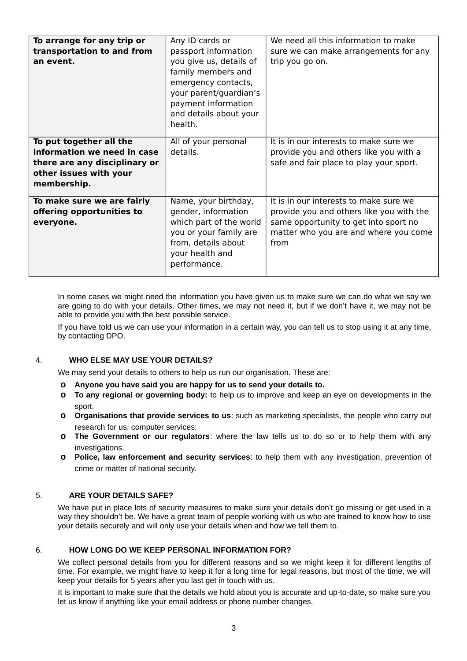| To arrange for any trip or                                                                                                       | Any ID cards or                                                                                                                                                                    | We need all this information to make                                                                                                                                         |
|----------------------------------------------------------------------------------------------------------------------------------|------------------------------------------------------------------------------------------------------------------------------------------------------------------------------------|------------------------------------------------------------------------------------------------------------------------------------------------------------------------------|
| transportation to and from<br>an event.                                                                                          | passport information<br>you give us, details of<br>family members and<br>emergency contacts,<br>your parent/guardian's<br>payment information<br>and details about your<br>health. | sure we can make arrangements for any<br>trip you go on.                                                                                                                     |
| To put together all the<br>information we need in case<br>there are any disciplinary or<br>other issues with your<br>membership. | All of your personal<br>details.                                                                                                                                                   | It is in our interests to make sure we<br>provide you and others like you with a<br>safe and fair place to play your sport.                                                  |
| To make sure we are fairly<br>offering opportunities to<br>everyone.                                                             | Name, your birthday,<br>gender, information<br>which part of the world<br>you or your family are<br>from, details about<br>your health and<br>performance.                         | It is in our interests to make sure we<br>provide you and others like you with the<br>same opportunity to get into sport no<br>matter who you are and where you come<br>from |

In some cases we might need the information you have given us to make sure we can do what we say we are going to do with your details. Other times, we may not need it, but if we don't have it, we may not be able to provide you with the best possible service.

If you have told us we can use your information in a certain way, you can tell us to stop using it at any time, by contacting DPO.

### 4. **WHO ELSE MAY USE YOUR DETAILS?**

We may send your details to others to help us run our organisation. These are:

- **o Anyone you have said you are happy for us to send your details to.**
- **o To any regional or governing body:** to help us to improve and keep an eye on developments in the sport.
- **o Organisations that provide services to us**: such as marketing specialists, the people who carry out research for us, computer services;
- **o The Government or our regulators**: where the law tells us to do so or to help them with any investigations.
- **o Police, law enforcement and security services**: to help them with any investigation, prevention of crime or matter of national security.

#### 5. **ARE YOUR DETAILS SAFE?**

We have put in place lots of security measures to make sure your details don't go missing or get used in a way they shouldn't be. We have a great team of people working with us who are trained to know how to use your details securely and will only use your details when and how we tell them to.

#### 6. **HOW LONG DO WE KEEP PERSONAL INFORMATION FOR?**

We collect personal details from you for different reasons and so we might keep it for different lengths of time. For example, we might have to keep it for a long time for legal reasons, but most of the time, we will keep your details for 5 years after you last get in touch with us.

It is important to make sure that the details we hold about you is accurate and up-to-date, so make sure you let us know if anything like your email address or phone number changes.